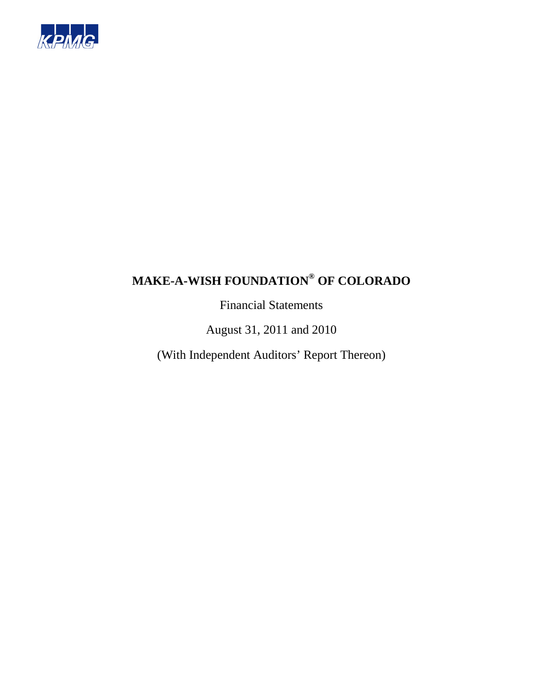

Financial Statements

August 31, 2011 and 2010

(With Independent Auditors' Report Thereon)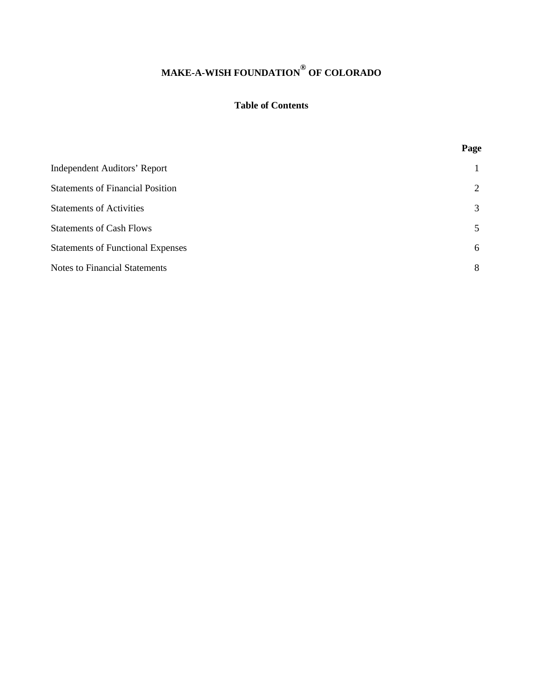# **Table of Contents**

|                                          | Page |
|------------------------------------------|------|
| Independent Auditors' Report             |      |
| <b>Statements of Financial Position</b>  | 2    |
| <b>Statements of Activities</b>          | 3    |
| <b>Statements of Cash Flows</b>          | 5    |
| <b>Statements of Functional Expenses</b> | 6    |
| <b>Notes to Financial Statements</b>     | 8    |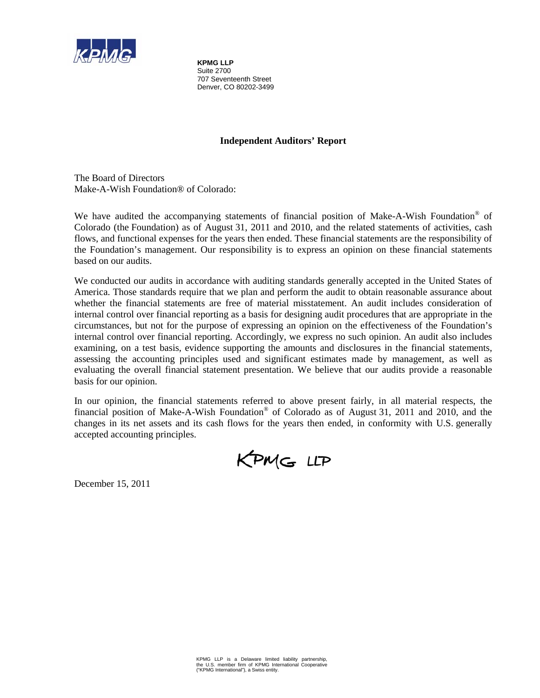

**KPMG LLP**  Suite 2700 707 Seventeenth Street Denver, CO 80202-3499

# **Independent Auditors' Report**

The Board of Directors Make-A-Wish Foundation® of Colorado:

We have audited the accompanying statements of financial position of Make-A-Wish Foundation® of Colorado (the Foundation) as of August 31, 2011 and 2010, and the related statements of activities, cash flows, and functional expenses for the years then ended. These financial statements are the responsibility of the Foundation's management. Our responsibility is to express an opinion on these financial statements based on our audits.

We conducted our audits in accordance with auditing standards generally accepted in the United States of America. Those standards require that we plan and perform the audit to obtain reasonable assurance about whether the financial statements are free of material misstatement. An audit includes consideration of internal control over financial reporting as a basis for designing audit procedures that are appropriate in the circumstances, but not for the purpose of expressing an opinion on the effectiveness of the Foundation's internal control over financial reporting. Accordingly, we express no such opinion. An audit also includes examining, on a test basis, evidence supporting the amounts and disclosures in the financial statements, assessing the accounting principles used and significant estimates made by management, as well as evaluating the overall financial statement presentation. We believe that our audits provide a reasonable basis for our opinion.

In our opinion, the financial statements referred to above present fairly, in all material respects, the financial position of Make-A-Wish Foundation® of Colorado as of August 31, 2011 and 2010, and the changes in its net assets and its cash flows for the years then ended, in conformity with U.S. generally accepted accounting principles.

KPMG LLP

December 15, 2011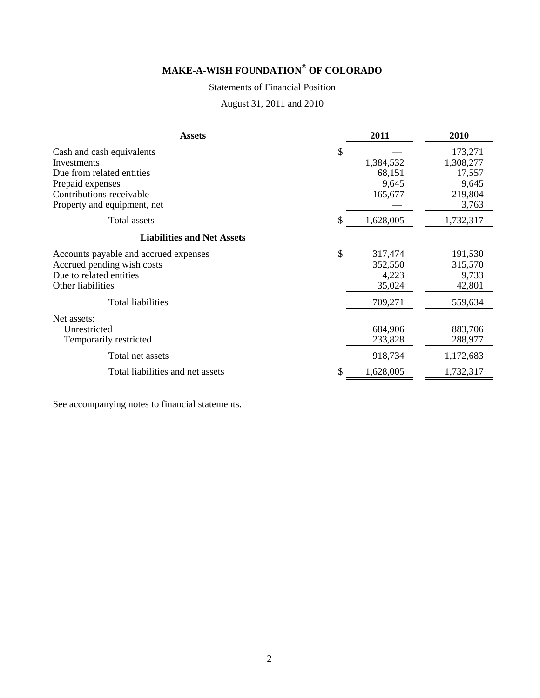# Statements of Financial Position

August 31, 2011 and 2010

| <b>Assets</b>                                                                                                                                        | 2011                                          | 2010                                                        |
|------------------------------------------------------------------------------------------------------------------------------------------------------|-----------------------------------------------|-------------------------------------------------------------|
| Cash and cash equivalents<br>Investments<br>Due from related entities<br>Prepaid expenses<br>Contributions receivable<br>Property and equipment, net | \$<br>1,384,532<br>68,151<br>9,645<br>165,677 | 173,271<br>1,308,277<br>17,557<br>9,645<br>219,804<br>3,763 |
| Total assets                                                                                                                                         | 1,628,005                                     | 1,732,317                                                   |
| <b>Liabilities and Net Assets</b>                                                                                                                    |                                               |                                                             |
| Accounts payable and accrued expenses<br>Accrued pending wish costs<br>Due to related entities<br>Other liabilities                                  | \$<br>317,474<br>352,550<br>4,223<br>35,024   | 191,530<br>315,570<br>9,733<br>42,801                       |
| <b>Total liabilities</b>                                                                                                                             | 709,271                                       | 559,634                                                     |
| Net assets:<br>Unrestricted<br>Temporarily restricted                                                                                                | 684,906<br>233,828                            | 883,706<br>288,977                                          |
| Total net assets                                                                                                                                     | 918,734                                       | 1,172,683                                                   |
| Total liabilities and net assets                                                                                                                     | 1,628,005                                     | 1,732,317                                                   |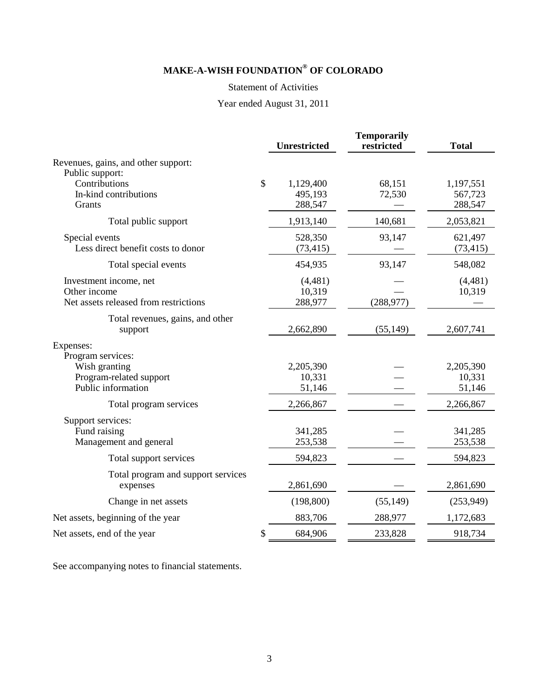## Statement of Activities

# Year ended August 31, 2011

|                                                                                 |              | <b>Unrestricted</b>             | <b>Temporarily</b><br>restricted | <b>Total</b>                    |
|---------------------------------------------------------------------------------|--------------|---------------------------------|----------------------------------|---------------------------------|
| Revenues, gains, and other support:<br>Public support:                          |              |                                 |                                  |                                 |
| Contributions<br>In-kind contributions<br>Grants                                | $\mathbb{S}$ | 1,129,400<br>495,193<br>288,547 | 68,151<br>72,530                 | 1,197,551<br>567,723<br>288,547 |
| Total public support                                                            |              | 1,913,140                       | 140,681                          | 2,053,821                       |
| Special events<br>Less direct benefit costs to donor                            |              | 528,350<br>(73, 415)            | 93,147                           | 621,497<br>(73, 415)            |
| Total special events                                                            |              | 454,935                         | 93,147                           | 548,082                         |
| Investment income, net<br>Other income<br>Net assets released from restrictions |              | (4,481)<br>10,319<br>288,977    | (288, 977)                       | (4,481)<br>10,319               |
| Total revenues, gains, and other<br>support                                     |              | 2,662,890                       | (55, 149)                        | 2,607,741                       |
| Expenses:<br>Program services:                                                  |              |                                 |                                  |                                 |
| Wish granting<br>Program-related support<br>Public information                  |              | 2,205,390<br>10,331<br>51,146   |                                  | 2,205,390<br>10,331<br>51,146   |
| Total program services                                                          |              | 2,266,867                       |                                  | 2,266,867                       |
| Support services:<br>Fund raising<br>Management and general                     |              | 341,285<br>253,538              |                                  | 341,285<br>253,538              |
| Total support services                                                          |              | 594,823                         |                                  | 594,823                         |
| Total program and support services<br>expenses                                  |              | 2,861,690                       |                                  | 2,861,690                       |
| Change in net assets                                                            |              | (198, 800)                      | (55, 149)                        | (253,949)                       |
| Net assets, beginning of the year                                               |              | 883,706                         | 288,977                          | 1,172,683                       |
| Net assets, end of the year                                                     | \$           | 684,906                         | 233,828                          | 918,734                         |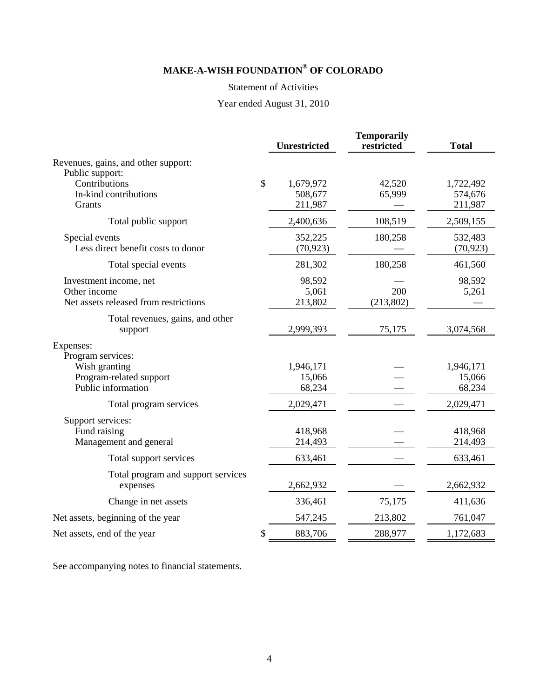### Statement of Activities

# Year ended August 31, 2010

|                                                                                     | <b>Unrestricted</b>                   | <b>Temporarily</b><br>restricted | <b>Total</b>                    |
|-------------------------------------------------------------------------------------|---------------------------------------|----------------------------------|---------------------------------|
| Revenues, gains, and other support:<br>Public support:                              |                                       |                                  |                                 |
| Contributions<br>In-kind contributions<br>Grants                                    | \$<br>1,679,972<br>508,677<br>211,987 | 42,520<br>65,999                 | 1,722,492<br>574,676<br>211,987 |
| Total public support                                                                | 2,400,636                             | 108,519                          | 2,509,155                       |
| Special events<br>Less direct benefit costs to donor                                | 352,225<br>(70, 923)                  | 180,258                          | 532,483<br>(70, 923)            |
| Total special events                                                                | 281,302                               | 180,258                          | 461,560                         |
| Investment income, net<br>Other income<br>Net assets released from restrictions     | 98,592<br>5,061<br>213,802            | 200<br>(213,802)                 | 98,592<br>5,261                 |
| Total revenues, gains, and other<br>support                                         | 2,999,393                             | 75,175                           | 3,074,568                       |
| Expenses:                                                                           |                                       |                                  |                                 |
| Program services:<br>Wish granting<br>Program-related support<br>Public information | 1,946,171<br>15,066<br>68,234         |                                  | 1,946,171<br>15,066<br>68,234   |
| Total program services                                                              | 2,029,471                             |                                  | 2,029,471                       |
| Support services:<br>Fund raising<br>Management and general                         | 418,968<br>214,493                    |                                  | 418,968<br>214,493              |
| Total support services                                                              | 633,461                               |                                  | 633,461                         |
| Total program and support services<br>expenses                                      | 2,662,932                             |                                  | 2,662,932                       |
| Change in net assets                                                                | 336,461                               | 75,175                           | 411,636                         |
| Net assets, beginning of the year                                                   | 547,245                               | 213,802                          | 761,047                         |
| Net assets, end of the year                                                         | \$<br>883,706                         | 288,977                          | 1,172,683                       |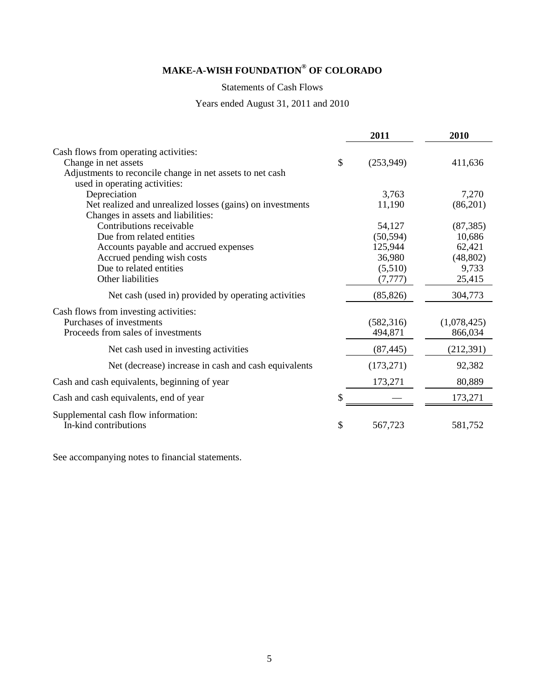Statements of Cash Flows

Years ended August 31, 2011 and 2010

|                                                              | 2011            | 2010        |
|--------------------------------------------------------------|-----------------|-------------|
| Cash flows from operating activities:                        |                 |             |
| Change in net assets                                         | \$<br>(253,949) | 411,636     |
| Adjustments to reconcile change in net assets to net cash    |                 |             |
| used in operating activities:                                |                 |             |
| Depreciation                                                 | 3,763           | 7,270       |
| Net realized and unrealized losses (gains) on investments    | 11,190          | (86,201)    |
| Changes in assets and liabilities:                           |                 |             |
| Contributions receivable                                     | 54,127          | (87, 385)   |
| Due from related entities                                    | (50, 594)       | 10,686      |
| Accounts payable and accrued expenses                        | 125,944         | 62,421      |
| Accrued pending wish costs                                   | 36,980          | (48, 802)   |
| Due to related entities                                      | (5,510)         | 9,733       |
| Other liabilities                                            | (7, 777)        | 25,415      |
| Net cash (used in) provided by operating activities          | (85, 826)       | 304,773     |
| Cash flows from investing activities:                        |                 |             |
| Purchases of investments                                     | (582, 316)      | (1,078,425) |
| Proceeds from sales of investments                           | 494,871         | 866,034     |
| Net cash used in investing activities                        | (87, 445)       | (212, 391)  |
| Net (decrease) increase in cash and cash equivalents         | (173, 271)      | 92,382      |
| Cash and cash equivalents, beginning of year                 | 173,271         | 80,889      |
| Cash and cash equivalents, end of year                       |                 | 173,271     |
| Supplemental cash flow information:<br>In-kind contributions | \$<br>567,723   | 581,752     |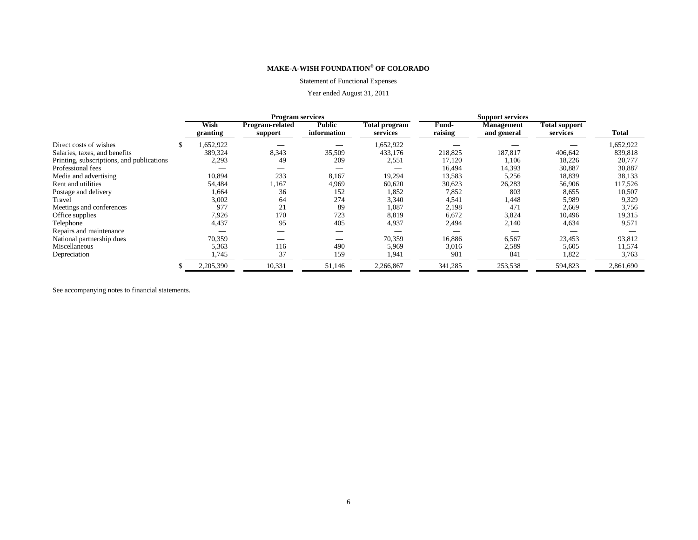#### Statement of Functional Expenses

### Year ended August 31, 2011

|                                           |                  | <b>Program services</b>    |                              |                           |                  | <b>Support services</b>          |                                  |           |  |
|-------------------------------------------|------------------|----------------------------|------------------------------|---------------------------|------------------|----------------------------------|----------------------------------|-----------|--|
|                                           | Wish<br>granting | Program-related<br>support | <b>Public</b><br>information | Total program<br>services | Fund-<br>raising | <b>Management</b><br>and general | <b>Total support</b><br>services | Total     |  |
| Direct costs of wishes                    | .652,922         |                            |                              | 1,652,922                 |                  |                                  |                                  | 1,652,922 |  |
| Salaries, taxes, and benefits             | 389,324          | 8,343                      | 35,509                       | 433,176                   | 218,825          | 187,817                          | 406,642                          | 839,818   |  |
| Printing, subscriptions, and publications | 2,293            | 49                         | 209                          | 2,551                     | 17,120           | 1,106                            | 18,226                           | 20,777    |  |
| Professional fees                         |                  |                            |                              |                           | 16,494           | 14,393                           | 30,887                           | 30,887    |  |
| Media and advertising                     | 10,894           | 233                        | 8,167                        | 19,294                    | 13,583           | 5,256                            | 18,839                           | 38,133    |  |
| Rent and utilities                        | 54,484           | 1.167                      | 4,969                        | 60,620                    | 30,623           | 26,283                           | 56,906                           | 117,526   |  |
| Postage and delivery                      | 1,664            | 36                         | 152                          | 1,852                     | 7,852            | 803                              | 8,655                            | 10,507    |  |
| Travel                                    | 3,002            | 64                         | 274                          | 3,340                     | 4,541            | 1,448                            | 5,989                            | 9,329     |  |
| Meetings and conferences                  | 977              | 21                         | 89                           | 1,087                     | 2,198            | 471                              | 2,669                            | 3,756     |  |
| Office supplies                           | 7,926            | 170                        | 723                          | 8,819                     | 6,672            | 3,824                            | 10,496                           | 19,315    |  |
| Telephone                                 | 4,437            | 95                         | 405                          | 4,937                     | 2,494            | 2,140                            | 4,634                            | 9,571     |  |
| Repairs and maintenance                   |                  |                            |                              |                           |                  |                                  |                                  |           |  |
| National partnership dues                 | 70,359           |                            |                              | 70,359                    | 16,886           | 6,567                            | 23,453                           | 93,812    |  |
| Miscellaneous                             | 5,363            | 116                        | 490                          | 5,969                     | 3,016            | 2,589                            | 5,605                            | 11,574    |  |
| Depreciation                              | .745             | 37                         | 159                          | 1.941                     | -981             | 841                              | 1,822                            | 3,763     |  |
|                                           | 2,205,390        | 10,331                     | 51,146                       | 2,266,867                 | 341,285          | 253,538                          | 594,823                          | 2,861,690 |  |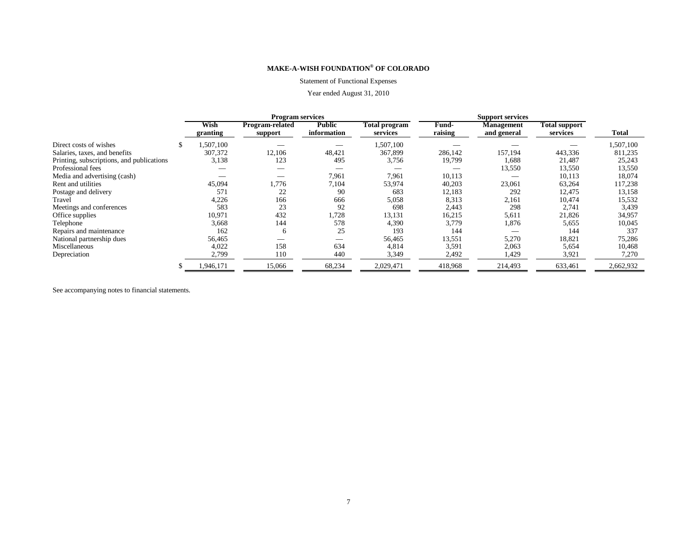#### Statement of Functional Expenses

### Year ended August 31, 2010

|                                           | <b>Program services</b> |                            |                              |                           |                  |                                  |                                  |           |
|-------------------------------------------|-------------------------|----------------------------|------------------------------|---------------------------|------------------|----------------------------------|----------------------------------|-----------|
|                                           | Wish<br>granting        | Program-related<br>support | <b>Public</b><br>information | Total program<br>services | Fund-<br>raising | <b>Management</b><br>and general | <b>Total support</b><br>services | Total     |
| Direct costs of wishes                    | 1,507,100               |                            |                              | 1,507,100                 |                  |                                  |                                  | 1,507,100 |
| Salaries, taxes, and benefits             | 307,372                 | 12,106                     | 48,421                       | 367,899                   | 286,142          | 157,194                          | 443,336                          | 811,235   |
| Printing, subscriptions, and publications | 3,138                   | 123                        | 495                          | 3,756                     | 19,799           | 1,688                            | 21,487                           | 25,243    |
| Professional fees                         |                         |                            |                              |                           |                  | 13,550                           | 13,550                           | 13,550    |
| Media and advertising (cash)              |                         |                            | 7.961                        | 7,961                     | 10,113           |                                  | 10,113                           | 18,074    |
| Rent and utilities                        | 45,094                  | 1,776                      | 7,104                        | 53,974                    | 40,203           | 23,061                           | 63,264                           | 117,238   |
| Postage and delivery                      | 571                     | 22                         | 90                           | 683                       | 12,183           | 292                              | 12,475                           | 13,158    |
| Travel                                    | 4,226                   | 166                        | 666                          | 5,058                     | 8.313            | 2,161                            | 10,474                           | 15,532    |
| Meetings and conferences                  | 583                     | 23                         | 92                           | 698                       | 2,443            | 298                              | 2,741                            | 3,439     |
| Office supplies                           | 10,971                  | 432                        | 1,728                        | 13,131                    | 16,215           | 5,611                            | 21,826                           | 34,957    |
| Telephone                                 | 3,668                   | 144                        | 578                          | 4,390                     | 3,779            | 1,876                            | 5,655                            | 10,045    |
| Repairs and maintenance                   | 162                     | 6                          | 25                           | 193                       | 144              |                                  | 144                              | 337       |
| National partnership dues                 | 56,465                  |                            |                              | 56,465                    | 13,551           | 5,270                            | 18,821                           | 75,286    |
| Miscellaneous                             | 4,022                   | 158                        | 634                          | 4,814                     | 3,591            | 2,063                            | 5,654                            | 10,468    |
| Depreciation                              | 2,799                   | 110                        | 440                          | 3,349                     | 2,492            | 1,429                            | 3,921                            | 7,270     |
|                                           | 1,946,171               | 15,066                     | 68,234                       | 2,029,471                 | 418,968          | 214,493                          | 633,461                          | 2,662,932 |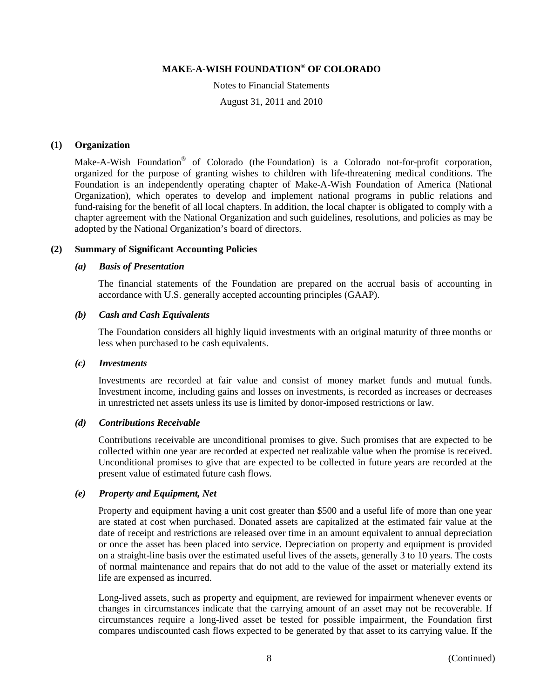Notes to Financial Statements August 31, 2011 and 2010

### **(1) Organization**

Make-A-Wish Foundation<sup>®</sup> of Colorado (the Foundation) is a Colorado not-for-profit corporation, organized for the purpose of granting wishes to children with life-threatening medical conditions. The Foundation is an independently operating chapter of Make-A-Wish Foundation of America (National Organization), which operates to develop and implement national programs in public relations and fund-raising for the benefit of all local chapters. In addition, the local chapter is obligated to comply with a chapter agreement with the National Organization and such guidelines, resolutions, and policies as may be adopted by the National Organization's board of directors.

### **(2) Summary of Significant Accounting Policies**

### *(a) Basis of Presentation*

The financial statements of the Foundation are prepared on the accrual basis of accounting in accordance with U.S. generally accepted accounting principles (GAAP).

### *(b) Cash and Cash Equivalents*

The Foundation considers all highly liquid investments with an original maturity of three months or less when purchased to be cash equivalents.

### *(c) Investments*

Investments are recorded at fair value and consist of money market funds and mutual funds. Investment income, including gains and losses on investments, is recorded as increases or decreases in unrestricted net assets unless its use is limited by donor-imposed restrictions or law.

### *(d) Contributions Receivable*

Contributions receivable are unconditional promises to give. Such promises that are expected to be collected within one year are recorded at expected net realizable value when the promise is received. Unconditional promises to give that are expected to be collected in future years are recorded at the present value of estimated future cash flows.

### *(e) Property and Equipment, Net*

Property and equipment having a unit cost greater than \$500 and a useful life of more than one year are stated at cost when purchased. Donated assets are capitalized at the estimated fair value at the date of receipt and restrictions are released over time in an amount equivalent to annual depreciation or once the asset has been placed into service. Depreciation on property and equipment is provided on a straight-line basis over the estimated useful lives of the assets, generally 3 to 10 years. The costs of normal maintenance and repairs that do not add to the value of the asset or materially extend its life are expensed as incurred.

Long-lived assets, such as property and equipment, are reviewed for impairment whenever events or changes in circumstances indicate that the carrying amount of an asset may not be recoverable. If circumstances require a long-lived asset be tested for possible impairment, the Foundation first compares undiscounted cash flows expected to be generated by that asset to its carrying value. If the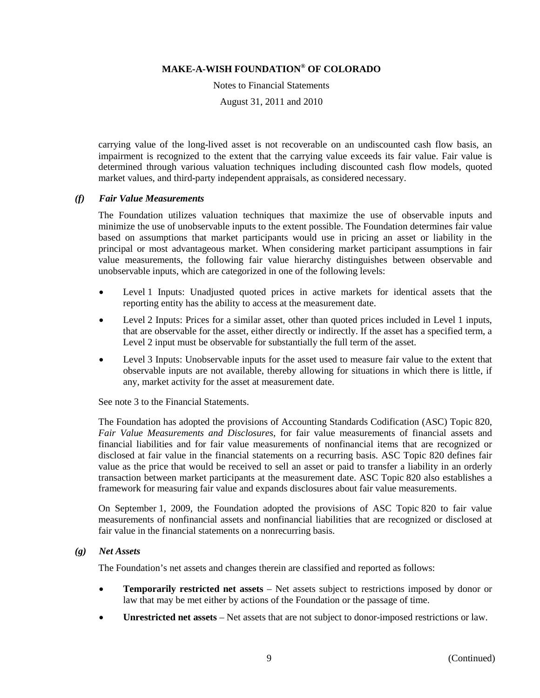Notes to Financial Statements

August 31, 2011 and 2010

carrying value of the long-lived asset is not recoverable on an undiscounted cash flow basis, an impairment is recognized to the extent that the carrying value exceeds its fair value. Fair value is determined through various valuation techniques including discounted cash flow models, quoted market values, and third-party independent appraisals, as considered necessary.

### *(f) Fair Value Measurements*

The Foundation utilizes valuation techniques that maximize the use of observable inputs and minimize the use of unobservable inputs to the extent possible. The Foundation determines fair value based on assumptions that market participants would use in pricing an asset or liability in the principal or most advantageous market. When considering market participant assumptions in fair value measurements, the following fair value hierarchy distinguishes between observable and unobservable inputs, which are categorized in one of the following levels:

- Level 1 Inputs: Unadjusted quoted prices in active markets for identical assets that the reporting entity has the ability to access at the measurement date.
- Level 2 Inputs: Prices for a similar asset, other than quoted prices included in Level 1 inputs, that are observable for the asset, either directly or indirectly. If the asset has a specified term, a Level 2 input must be observable for substantially the full term of the asset.
- Level 3 Inputs: Unobservable inputs for the asset used to measure fair value to the extent that observable inputs are not available, thereby allowing for situations in which there is little, if any, market activity for the asset at measurement date.

See note 3 to the Financial Statements.

The Foundation has adopted the provisions of Accounting Standards Codification (ASC) Topic 820, *Fair Value Measurements and Disclosures*, for fair value measurements of financial assets and financial liabilities and for fair value measurements of nonfinancial items that are recognized or disclosed at fair value in the financial statements on a recurring basis. ASC Topic 820 defines fair value as the price that would be received to sell an asset or paid to transfer a liability in an orderly transaction between market participants at the measurement date. ASC Topic 820 also establishes a framework for measuring fair value and expands disclosures about fair value measurements.

On September 1, 2009, the Foundation adopted the provisions of ASC Topic 820 to fair value measurements of nonfinancial assets and nonfinancial liabilities that are recognized or disclosed at fair value in the financial statements on a nonrecurring basis.

### *(g) Net Assets*

The Foundation's net assets and changes therein are classified and reported as follows:

- **Temporarily restricted net assets** Net assets subject to restrictions imposed by donor or law that may be met either by actions of the Foundation or the passage of time.
- **Unrestricted net assets** Net assets that are not subject to donor-imposed restrictions or law.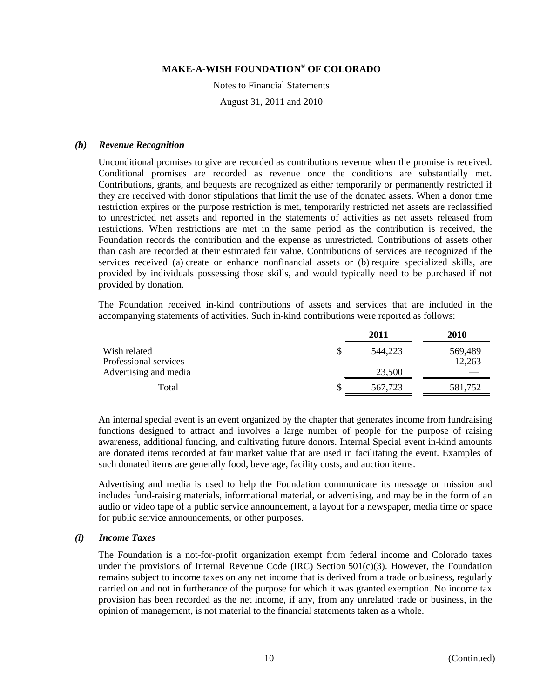Notes to Financial Statements

August 31, 2011 and 2010

### *(h) Revenue Recognition*

Unconditional promises to give are recorded as contributions revenue when the promise is received. Conditional promises are recorded as revenue once the conditions are substantially met. Contributions, grants, and bequests are recognized as either temporarily or permanently restricted if they are received with donor stipulations that limit the use of the donated assets. When a donor time restriction expires or the purpose restriction is met, temporarily restricted net assets are reclassified to unrestricted net assets and reported in the statements of activities as net assets released from restrictions. When restrictions are met in the same period as the contribution is received, the Foundation records the contribution and the expense as unrestricted. Contributions of assets other than cash are recorded at their estimated fair value. Contributions of services are recognized if the services received (a) create or enhance nonfinancial assets or (b) require specialized skills, are provided by individuals possessing those skills, and would typically need to be purchased if not provided by donation.

The Foundation received in-kind contributions of assets and services that are included in the accompanying statements of activities. Such in-kind contributions were reported as follows:

|                       |    | 2011    | 2010    |
|-----------------------|----|---------|---------|
| Wish related          | \$ | 544.223 | 569,489 |
| Professional services |    |         | 12,263  |
| Advertising and media |    | 23,500  |         |
| Total                 | S  | 567,723 | 581,752 |

An internal special event is an event organized by the chapter that generates income from fundraising functions designed to attract and involves a large number of people for the purpose of raising awareness, additional funding, and cultivating future donors. Internal Special event in-kind amounts are donated items recorded at fair market value that are used in facilitating the event. Examples of such donated items are generally food, beverage, facility costs, and auction items.

Advertising and media is used to help the Foundation communicate its message or mission and includes fund-raising materials, informational material, or advertising, and may be in the form of an audio or video tape of a public service announcement, a layout for a newspaper, media time or space for public service announcements, or other purposes.

### *(i) Income Taxes*

The Foundation is a not-for-profit organization exempt from federal income and Colorado taxes under the provisions of Internal Revenue Code (IRC) Section  $501(c)(3)$ . However, the Foundation remains subject to income taxes on any net income that is derived from a trade or business, regularly carried on and not in furtherance of the purpose for which it was granted exemption. No income tax provision has been recorded as the net income, if any, from any unrelated trade or business, in the opinion of management, is not material to the financial statements taken as a whole.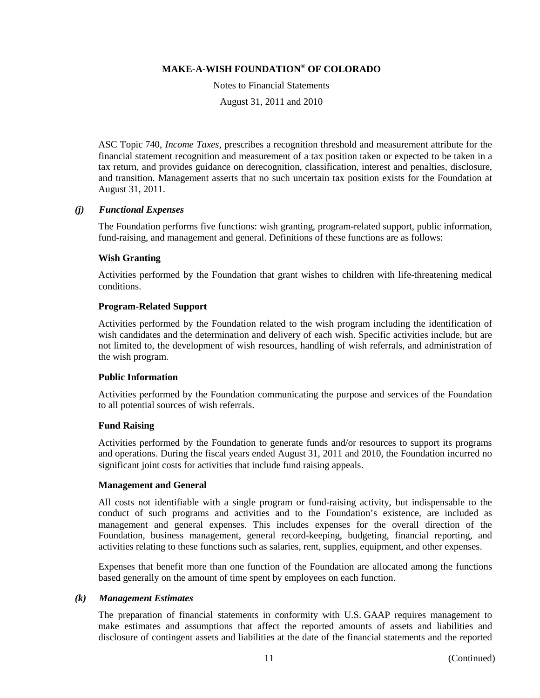Notes to Financial Statements

August 31, 2011 and 2010

ASC Topic 740, *Income Taxes*, prescribes a recognition threshold and measurement attribute for the financial statement recognition and measurement of a tax position taken or expected to be taken in a tax return, and provides guidance on derecognition, classification, interest and penalties, disclosure, and transition. Management asserts that no such uncertain tax position exists for the Foundation at August 31, 2011.

### *(j) Functional Expenses*

The Foundation performs five functions: wish granting, program-related support, public information, fund-raising, and management and general. Definitions of these functions are as follows:

### **Wish Granting**

Activities performed by the Foundation that grant wishes to children with life-threatening medical conditions.

### **Program-Related Support**

Activities performed by the Foundation related to the wish program including the identification of wish candidates and the determination and delivery of each wish. Specific activities include, but are not limited to, the development of wish resources, handling of wish referrals, and administration of the wish program.

### **Public Information**

Activities performed by the Foundation communicating the purpose and services of the Foundation to all potential sources of wish referrals.

### **Fund Raising**

Activities performed by the Foundation to generate funds and/or resources to support its programs and operations. During the fiscal years ended August 31, 2011 and 2010, the Foundation incurred no significant joint costs for activities that include fund raising appeals.

### **Management and General**

All costs not identifiable with a single program or fund-raising activity, but indispensable to the conduct of such programs and activities and to the Foundation's existence, are included as management and general expenses. This includes expenses for the overall direction of the Foundation, business management, general record-keeping, budgeting, financial reporting, and activities relating to these functions such as salaries, rent, supplies, equipment, and other expenses.

Expenses that benefit more than one function of the Foundation are allocated among the functions based generally on the amount of time spent by employees on each function.

### *(k) Management Estimates*

The preparation of financial statements in conformity with U.S. GAAP requires management to make estimates and assumptions that affect the reported amounts of assets and liabilities and disclosure of contingent assets and liabilities at the date of the financial statements and the reported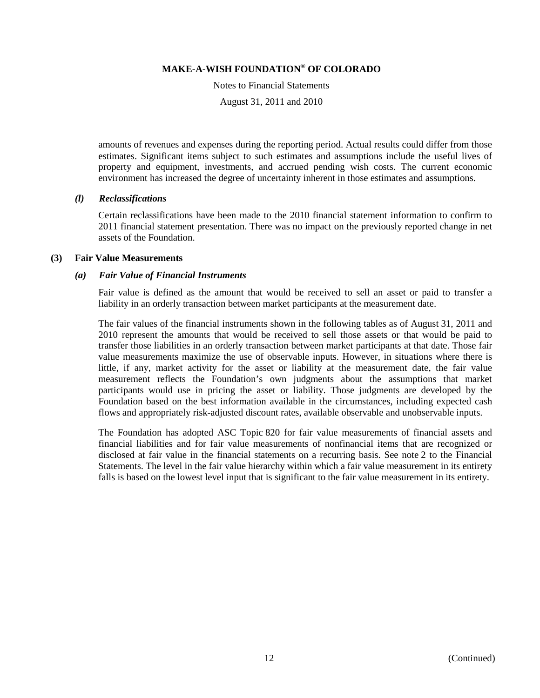Notes to Financial Statements

August 31, 2011 and 2010

amounts of revenues and expenses during the reporting period. Actual results could differ from those estimates. Significant items subject to such estimates and assumptions include the useful lives of property and equipment, investments, and accrued pending wish costs. The current economic environment has increased the degree of uncertainty inherent in those estimates and assumptions.

### *(l) Reclassifications*

Certain reclassifications have been made to the 2010 financial statement information to confirm to 2011 financial statement presentation. There was no impact on the previously reported change in net assets of the Foundation.

### **(3) Fair Value Measurements**

#### *(a) Fair Value of Financial Instruments*

Fair value is defined as the amount that would be received to sell an asset or paid to transfer a liability in an orderly transaction between market participants at the measurement date.

The fair values of the financial instruments shown in the following tables as of August 31, 2011 and 2010 represent the amounts that would be received to sell those assets or that would be paid to transfer those liabilities in an orderly transaction between market participants at that date. Those fair value measurements maximize the use of observable inputs. However, in situations where there is little, if any, market activity for the asset or liability at the measurement date, the fair value measurement reflects the Foundation's own judgments about the assumptions that market participants would use in pricing the asset or liability. Those judgments are developed by the Foundation based on the best information available in the circumstances, including expected cash flows and appropriately risk-adjusted discount rates, available observable and unobservable inputs.

The Foundation has adopted ASC Topic 820 for fair value measurements of financial assets and financial liabilities and for fair value measurements of nonfinancial items that are recognized or disclosed at fair value in the financial statements on a recurring basis. See note 2 to the Financial Statements. The level in the fair value hierarchy within which a fair value measurement in its entirety falls is based on the lowest level input that is significant to the fair value measurement in its entirety.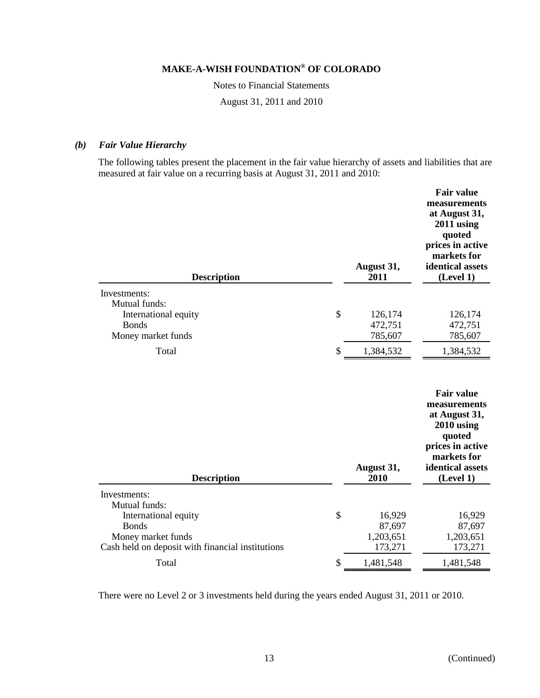Notes to Financial Statements

August 31, 2011 and 2010

### *(b) Fair Value Hierarchy*

The following tables present the placement in the fair value hierarchy of assets and liabilities that are measured at fair value on a recurring basis at August 31, 2011 and 2010:

| <b>Description</b>                                                                                                              | August 31,<br>2011                             | <b>Fair value</b><br>measurements<br>at August 31,<br>$2011$ using<br>quoted<br>prices in active<br>markets for<br>identical assets<br>(Level 1) |
|---------------------------------------------------------------------------------------------------------------------------------|------------------------------------------------|--------------------------------------------------------------------------------------------------------------------------------------------------|
| Investments:                                                                                                                    |                                                |                                                                                                                                                  |
| Mutual funds:<br>International equity<br><b>Bonds</b><br>Money market funds                                                     | \$<br>126,174<br>472,751<br>785,607            | 126,174<br>472,751<br>785,607                                                                                                                    |
| Total                                                                                                                           | \$<br>1,384,532                                | 1,384,532                                                                                                                                        |
| <b>Description</b>                                                                                                              | August 31,<br>2010                             | <b>Fair value</b><br>measurements<br>at August 31,<br>$2010$ using<br>quoted<br>prices in active<br>markets for<br>identical assets<br>(Level 1) |
| Investments:                                                                                                                    |                                                |                                                                                                                                                  |
| Mutual funds:<br>International equity<br><b>Bonds</b><br>Money market funds<br>Cash held on deposit with financial institutions | \$<br>16,929<br>87,697<br>1,203,651<br>173,271 | 16,929<br>87,697<br>1,203,651<br>173,271                                                                                                         |
|                                                                                                                                 |                                                |                                                                                                                                                  |

There were no Level 2 or 3 investments held during the years ended August 31, 2011 or 2010.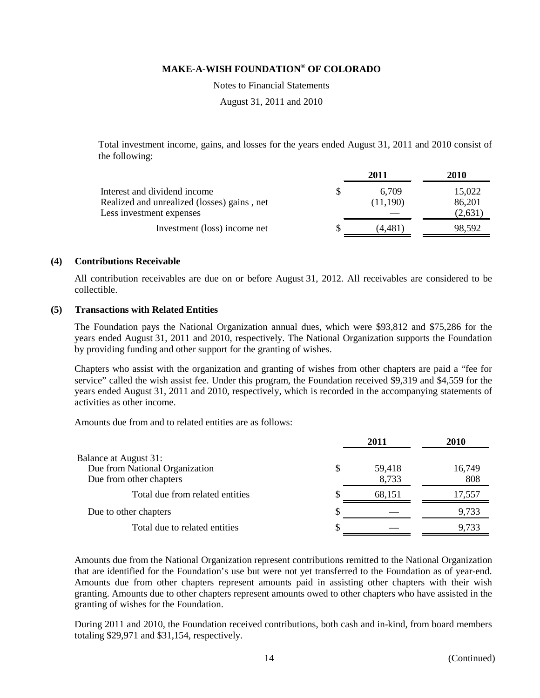Notes to Financial Statements

August 31, 2011 and 2010

Total investment income, gains, and losses for the years ended August 31, 2011 and 2010 consist of the following:

|                                             | 2011     | 2010    |
|---------------------------------------------|----------|---------|
| Interest and dividend income                | 6.709    | 15,022  |
| Realized and unrealized (losses) gains, net | (11.190) | 86,201  |
| Less investment expenses                    |          | (2,631) |
| Investment (loss) income net                | (4.481)  | 98,592  |
|                                             |          |         |

### **(4) Contributions Receivable**

All contribution receivables are due on or before August 31, 2012. All receivables are considered to be collectible.

### **(5) Transactions with Related Entities**

The Foundation pays the National Organization annual dues, which were \$93,812 and \$75,286 for the years ended August 31, 2011 and 2010, respectively. The National Organization supports the Foundation by providing funding and other support for the granting of wishes.

Chapters who assist with the organization and granting of wishes from other chapters are paid a "fee for service" called the wish assist fee. Under this program, the Foundation received \$9,319 and \$4,559 for the years ended August 31, 2011 and 2010, respectively, which is recorded in the accompanying statements of activities as other income.

Amounts due from and to related entities are as follows:

|                                 |   | 2011   | 2010   |
|---------------------------------|---|--------|--------|
| Balance at August 31:           |   |        |        |
| Due from National Organization  | S | 59,418 | 16,749 |
| Due from other chapters         |   | 8,733  | 808    |
| Total due from related entities |   | 68,151 | 17,557 |
| Due to other chapters           | S |        | 9,733  |
| Total due to related entities   | S |        | 9,733  |

Amounts due from the National Organization represent contributions remitted to the National Organization that are identified for the Foundation's use but were not yet transferred to the Foundation as of year-end. Amounts due from other chapters represent amounts paid in assisting other chapters with their wish granting. Amounts due to other chapters represent amounts owed to other chapters who have assisted in the granting of wishes for the Foundation.

During 2011 and 2010, the Foundation received contributions, both cash and in-kind, from board members totaling \$29,971 and \$31,154, respectively.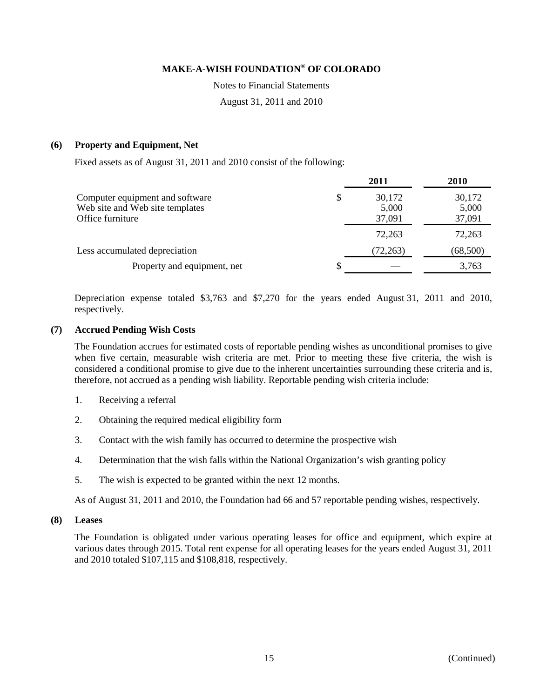Notes to Financial Statements

August 31, 2011 and 2010

### **(6) Property and Equipment, Net**

Fixed assets as of August 31, 2011 and 2010 consist of the following:

|                                                                                        |   | 2011                      | 2010                      |
|----------------------------------------------------------------------------------------|---|---------------------------|---------------------------|
| Computer equipment and software<br>Web site and Web site templates<br>Office furniture | S | 30,172<br>5,000<br>37,091 | 30,172<br>5,000<br>37,091 |
|                                                                                        |   | 72,263                    | 72,263                    |
| Less accumulated depreciation                                                          |   | (72, 263)                 | (68, 500)                 |
| Property and equipment, net                                                            |   |                           | 3,763                     |

Depreciation expense totaled \$3,763 and \$7,270 for the years ended August 31, 2011 and 2010, respectively.

### **(7) Accrued Pending Wish Costs**

The Foundation accrues for estimated costs of reportable pending wishes as unconditional promises to give when five certain, measurable wish criteria are met. Prior to meeting these five criteria, the wish is considered a conditional promise to give due to the inherent uncertainties surrounding these criteria and is, therefore, not accrued as a pending wish liability. Reportable pending wish criteria include:

- 1. Receiving a referral
- 2. Obtaining the required medical eligibility form
- 3. Contact with the wish family has occurred to determine the prospective wish
- 4. Determination that the wish falls within the National Organization's wish granting policy
- 5. The wish is expected to be granted within the next 12 months.

As of August 31, 2011 and 2010, the Foundation had 66 and 57 reportable pending wishes, respectively.

### **(8) Leases**

The Foundation is obligated under various operating leases for office and equipment, which expire at various dates through 2015. Total rent expense for all operating leases for the years ended August 31, 2011 and 2010 totaled \$107,115 and \$108,818, respectively.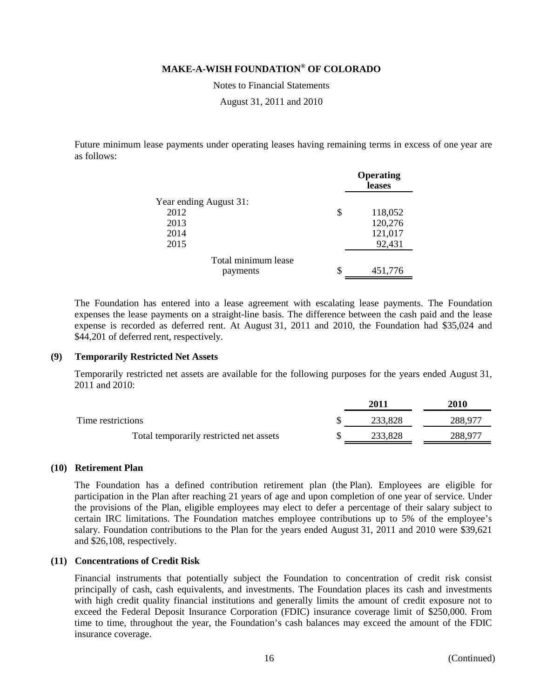Notes to Financial Statements

August 31, 2011 and 2010

Future minimum lease payments under operating leases having remaining terms in excess of one year are as follows:

|                        | <b>Operating</b><br>leases |  |
|------------------------|----------------------------|--|
| Year ending August 31: |                            |  |
| 2012                   | \$<br>118,052              |  |
| 2013                   | 120,276                    |  |
| 2014                   | 121,017                    |  |
| 2015                   | 92,431                     |  |
| Total minimum lease    |                            |  |
| payments               | \$<br>451,776              |  |

The Foundation has entered into a lease agreement with escalating lease payments. The Foundation expenses the lease payments on a straight-line basis. The difference between the cash paid and the lease expense is recorded as deferred rent. At August 31, 2011 and 2010, the Foundation had \$35,024 and \$44,201 of deferred rent, respectively.

### **(9) Temporarily Restricted Net Assets**

Temporarily restricted net assets are available for the following purposes for the years ended August 31, 2011 and 2010:

|                                         | 2011    | 2010    |
|-----------------------------------------|---------|---------|
| Time restrictions                       | 233,828 | 288,977 |
| Total temporarily restricted net assets | 233.828 | 288.977 |

### **(10) Retirement Plan**

The Foundation has a defined contribution retirement plan (the Plan). Employees are eligible for participation in the Plan after reaching 21 years of age and upon completion of one year of service. Under the provisions of the Plan, eligible employees may elect to defer a percentage of their salary subject to certain IRC limitations. The Foundation matches employee contributions up to 5% of the employee's salary. Foundation contributions to the Plan for the years ended August 31, 2011 and 2010 were \$39,621 and \$26,108, respectively.

### **(11) Concentrations of Credit Risk**

Financial instruments that potentially subject the Foundation to concentration of credit risk consist principally of cash, cash equivalents, and investments. The Foundation places its cash and investments with high credit quality financial institutions and generally limits the amount of credit exposure not to exceed the Federal Deposit Insurance Corporation (FDIC) insurance coverage limit of \$250,000. From time to time, throughout the year, the Foundation's cash balances may exceed the amount of the FDIC insurance coverage.